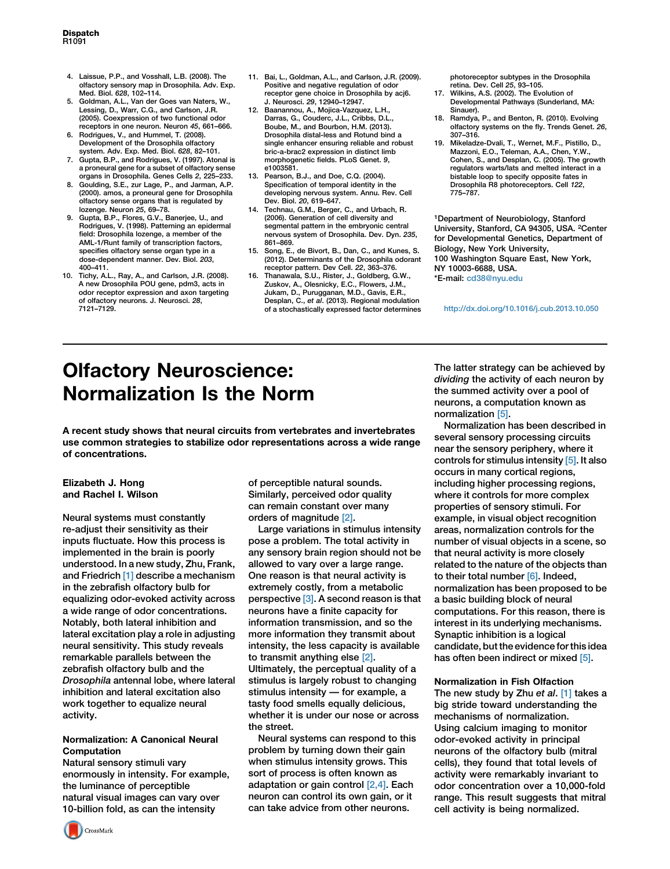- 4. Laissue, P.P., and Vosshall, L.B. (2008). The olfactory sensory map in Drosophila. Adv. Exp. Med. Biol. 628, 102–114.
- 5. Goldman, A.L., Van der Goes van Naters, W., Lessing, D., Warr, C.G., and Carlson, J.R. (2005). Coexpression of two functional odor receptors in one neuron. Neuron 45, 661–666.
- 6. Rodrigues, V., and Hummel, T. (2008). Development of the Drosophila olfactory system. Adv. Exp. Med. Biol. 628, 82–101.
- 7. Gupta, B.P., and Rodrigues, V. (1997). Atonal is a proneural gene for a subset of olfactory sense organs in Drosophila. Genes Cells 2, 225–233.
- 8. Goulding, S.E., zur Lage, P., and Jarman, A.P. (2000). amos, a proneural gene for Drosophila olfactory sense organs that is regulated by lozenge. Neuron 25, 69–78.
- 9. Gupta, B.P., Flores, G.V., Banerjee, U., and Rodrigues, V. (1998). Patterning an epidermal field: Drosophila lozenge, a member of the AML-1/Runt family of transcription factors, specifies olfactory sense organ type in a dose-dependent manner. Dev. Biol. 203, 400–411.
- 10. Tichy, A.L., Ray, A., and Carlson, J.R. (2008). A new Drosophila POU gene, pdm3, acts in odor receptor expression and axon targeting of olfactory neurons. J. Neurosci. 28, 7121–7129.
- 11. Bai, L., Goldman, A.L., and Carlson, J.R. (2009). Positive and negative regulation of odor receptor gene choice in Drosophila by acj6. J. Neurosci. 29, 12940–12947.
- 12. Baanannou, A., Mojica-Vazquez, L.H., Darras, G., Couderc, J.L., Cribbs, D.L., Boube, M., and Bourbon, H.M. (2013). Drosophila distal-less and Rotund bind a single enhancer ensuring reliable and robust bric-a-brac2 expression in distinct limb morphogenetic fields. PLoS Genet. 9, e1003581.
- 13. Pearson, B.J., and Doe, C.Q. (2004). Specification of temporal identity in the developing nervous system. Annu. Rev. Cell Dev. Biol. 20, 619–647.
- 14. Technau, G.M., Berger, C., and Urbach, R. (2006). Generation of cell diversity and segmental pattern in the embryonic central nervous system of Drosophila. Dev. Dyn. 235, 861–869.
- 15. Song, E., de Bivort, B., Dan, C., and Kunes, S. (2012). Determinants of the Drosophila odorant receptor pattern. Dev Cell. 22, 363–376.
- 16. Thanawala, S.U., Rister, J., Goldberg, G.W., Zuskov, A., Olesnicky, E.C., Flowers, J.M., Jukam, D., Purugganan, M.D., Gavis, E.R., Desplan, C., et al. (2013). Regional modulation of a stochastically expressed factor determines

photoreceptor subtypes in the Drosophila .<br>retina. Dev. Cell 25. 93–105.

- 17. Wilkins, A.S. (2002). The Evolution of Developmental Pathways (Sunderland, MA: Sinauer).
- 18. Ramdya, P., and Benton, R. (2010). Evolving olfactory systems on the fly. Trends Genet. 26, 307–316.
- 19. Mikeladze-Dvali, T., Wernet, M.F., Pistillo, D., Mazzoni, E.O., Teleman, A.A., Chen, Y.W., Cohen, S., and Desplan, C. (2005). The growth regulators warts/lats and melted interact in a bistable loop to specify opposite fates in Drosophila R8 photoreceptors. Cell 122, 775–787.

1Department of Neurobiology, Stanford University, Stanford, CA 94305, USA. 2Center for Developmental Genetics, Department of Biology, New York University, 100 Washington Square East, New York, NY 10003-6688, USA. \*E-mail: [cd38@nyu.edu](mailto:cd38@nyu.edu)

<http://dx.doi.org/10.1016/j.cub.2013.10.050>

# Olfactory Neuroscience: Normalization Is the Norm

A recent study shows that neural circuits from vertebrates and invertebrates use common strategies to stabilize odor representations across a wide range of concentrations.

## Elizabeth J. Hong and Rachel I. Wilson

Neural systems must constantly re-adjust their sensitivity as their inputs fluctuate. How this process is implemented in the brain is poorly understood. In a new study, Zhu, Frank, and Friedrich [\[1\]](#page-2-0) describe a mechanism in the zebrafish olfactory bulb for equalizing odor-evoked activity across a wide range of odor concentrations. Notably, both lateral inhibition and lateral excitation play a role in adjusting neural sensitivity. This study reveals remarkable parallels between the zebrafish olfactory bulb and the Drosophila antennal lobe, where lateral inhibition and lateral excitation also work together to equalize neural activity.

## Normalization: A Canonical Neural Computation

Natural sensory stimuli vary enormously in intensity. For example, the luminance of perceptible natural visual images can vary over 10-billion fold, as can the intensity

of perceptible natural sounds. Similarly, perceived odor quality can remain constant over many orders of magnitude [\[2\].](#page-2-0)

Large variations in stimulus intensity pose a problem. The total activity in any sensory brain region should not be allowed to vary over a large range. One reason is that neural activity is extremely costly, from a metabolic perspective [\[3\].](#page-2-0) A second reason is that neurons have a finite capacity for information transmission, and so the more information they transmit about intensity, the less capacity is available to transmit anything else [\[2\].](#page-2-0) Ultimately, the perceptual quality of a stimulus is largely robust to changing stimulus intensity — for example, a tasty food smells equally delicious, whether it is under our nose or across the street.

Neural systems can respond to this problem by turning down their gain when stimulus intensity grows. This sort of process is often known as adaptation or gain control [\[2,4\].](#page-2-0) Each neuron can control its own gain, or it can take advice from other neurons.

The latter strategy can be achieved by dividing the activity of each neuron by the summed activity over a pool of neurons, a computation known as normalization [\[5\].](#page-2-0)

Normalization has been described in several sensory processing circuits near the sensory periphery, where it controls for stimulus intensity [\[5\].](#page-2-0) It also occurs in many cortical regions, including higher processing regions, where it controls for more complex properties of sensory stimuli. For example, in visual object recognition areas, normalization controls for the number of visual objects in a scene, so that neural activity is more closely related to the nature of the objects than to their total number [\[6\]](#page-2-0). Indeed, normalization has been proposed to be a basic building block of neural computations. For this reason, there is interest in its underlying mechanisms. Synaptic inhibition is a logical candidate, but the evidence for this idea has often been indirect or mixed [\[5\]](#page-2-0).

### Normalization in Fish Olfaction

The new study by Zhu et al. [\[1\]](#page-2-0) takes a big stride toward understanding the mechanisms of normalization. Using calcium imaging to monitor odor-evoked activity in principal neurons of the olfactory bulb (mitral cells), they found that total levels of activity were remarkably invariant to odor concentration over a 10,000-fold range. This result suggests that mitral cell activity is being normalized.

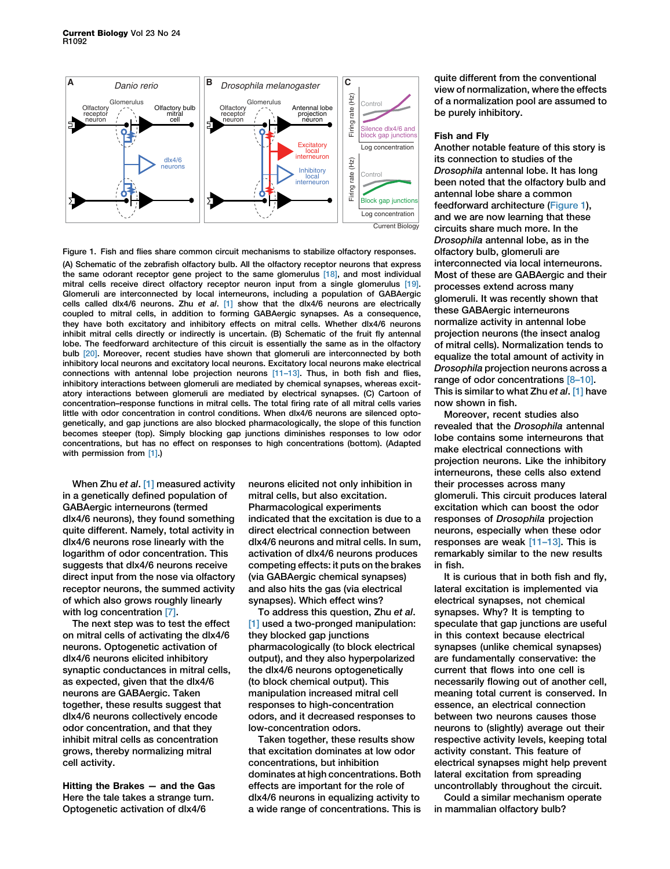

Figure 1. Fish and flies share common circuit mechanisms to stabilize olfactory responses. (A) Schematic of the zebrafish olfactory bulb. All the olfactory receptor neurons that express the same odorant receptor gene project to the same glomerulus [\[18\],](#page-2-0) and most individual mitral cells receive direct olfactory receptor neuron input from a single glomerulus [\[19\]](#page-2-0). Glomeruli are interconnected by local interneurons, including a population of GABAergic cells called dlx4/6 neurons. Zhu et al.  $[1]$  show that the dlx4/6 neurons are electrically coupled to mitral cells, in addition to forming GABAergic synapses. As a consequence, they have both excitatory and inhibitory effects on mitral cells. Whether dlx4/6 neurons inhibit mitral cells directly or indirectly is uncertain. (B) Schematic of the fruit fly antennal lobe. The feedforward architecture of this circuit is essentially the same as in the olfactory bulb [\[20\].](#page-2-0) Moreover, recent studies have shown that glomeruli are interconnected by both inhibitory local neurons and excitatory local neurons. Excitatory local neurons make electrical connections with antennal lobe projection neurons  $[11–13]$ . Thus, in both fish and flies, inhibitory interactions between glomeruli are mediated by chemical synapses, whereas excitatory interactions between glomeruli are mediated by electrical synapses. (C) Cartoon of concentration–response functions in mitral cells. The total firing rate of all mitral cells varies little with odor concentration in control conditions. When dlx4/6 neurons are silenced optogenetically, and gap junctions are also blocked pharmacologically, the slope of this function becomes steeper (top). Simply blocking gap junctions diminishes responses to low odor concentrations, but has no effect on responses to high concentrations (bottom). (Adapted with permission from [\[1\]](#page-2-0).)

When Zhu et al. [\[1\]](#page-2-0) measured activity in a genetically defined population of GABAergic interneurons (termed dlx4/6 neurons), they found something quite different. Namely, total activity in dlx4/6 neurons rose linearly with the logarithm of odor concentration. This suggests that dlx4/6 neurons receive direct input from the nose via olfactory receptor neurons, the summed activity of which also grows roughly linearly with log concentration [\[7\]](#page-2-0).

The next step was to test the effect on mitral cells of activating the dlx4/6 neurons. Optogenetic activation of dlx4/6 neurons elicited inhibitory synaptic conductances in mitral cells, as expected, given that the dlx4/6 neurons are GABAergic. Taken together, these results suggest that dlx4/6 neurons collectively encode odor concentration, and that they inhibit mitral cells as concentration grows, thereby normalizing mitral cell activity.

Hitting the Brakes — and the Gas Here the tale takes a strange turn. Optogenetic activation of dlx4/6

neurons elicited not only inhibition in mitral cells, but also excitation. Pharmacological experiments indicated that the excitation is due to a direct electrical connection between dlx4/6 neurons and mitral cells. In sum, activation of dlx4/6 neurons produces competing effects: it puts on the brakes (via GABAergic chemical synapses) and also hits the gas (via electrical synapses). Which effect wins?

To address this question, Zhu et al. [\[1\]](#page-2-0) used a two-pronged manipulation: they blocked gap junctions pharmacologically (to block electrical output), and they also hyperpolarized the dlx4/6 neurons optogenetically (to block chemical output). This manipulation increased mitral cell responses to high-concentration odors, and it decreased responses to low-concentration odors.

Taken together, these results show that excitation dominates at low odor concentrations, but inhibition dominates at high concentrations. Both effects are important for the role of dlx4/6 neurons in equalizing activity to a wide range of concentrations. This is quite different from the conventional view of normalization, where the effects of a normalization pool are assumed to be purely inhibitory.

#### Fish and Fly

Another notable feature of this story is its connection to studies of the Drosophila antennal lobe. It has long been noted that the olfactory bulb and antennal lobe share a common feedforward architecture (Figure 1), and we are now learning that these circuits share much more. In the Drosophila antennal lobe, as in the olfactory bulb, glomeruli are interconnected via local interneurons. Most of these are GABAergic and their processes extend across many glomeruli. It was recently shown that these GABAergic interneurons normalize activity in antennal lobe projection neurons (the insect analog of mitral cells). Normalization tends to equalize the total amount of activity in Drosophila projection neurons across a range of odor concentrations [\[8–10\].](#page-2-0) This is similar to what Zhu et al. [\[1\]](#page-2-0) have now shown in fish.

Moreover, recent studies also revealed that the Drosophila antennal lobe contains some interneurons that make electrical connections with projection neurons. Like the inhibitory interneurons, these cells also extend their processes across many glomeruli. This circuit produces lateral excitation which can boost the odor responses of Drosophila projection neurons, especially when these odor responses are weak [\[11–13\]](#page-2-0). This is remarkably similar to the new results in fish.

It is curious that in both fish and fly, lateral excitation is implemented via electrical synapses, not chemical synapses. Why? It is tempting to speculate that gap junctions are useful in this context because electrical synapses (unlike chemical synapses) are fundamentally conservative: the current that flows into one cell is necessarily flowing out of another cell, meaning total current is conserved. In essence, an electrical connection between two neurons causes those neurons to (slightly) average out their respective activity levels, keeping total activity constant. This feature of electrical synapses might help prevent lateral excitation from spreading uncontrollably throughout the circuit.

Could a similar mechanism operate in mammalian olfactory bulb?